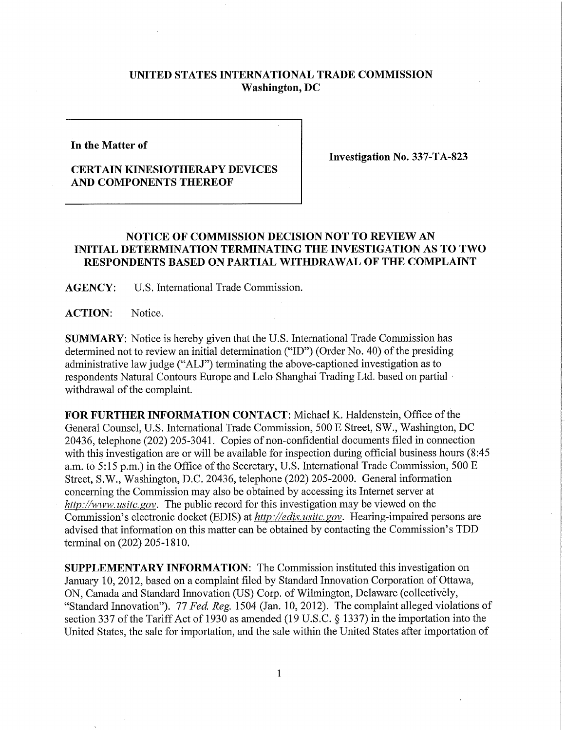## **UNITED STATES INTERNATIONAL TRADE COMMISSION Washington, DC**

**In the Matter of** 

**Investigation No. 337-TA-823** 

## **CERTAIN KINESIOTHERAPY DEVICES AND COMPONENTS THEREOF**

## **NOTICE OF COMMISSION DECISION NOT TO REVIEW AN INITIAL DETERMINATION TERMINATING THE INVESTIGATION AS TO TWO RESPONDENTS BASED ON PARTIAL WITHDRAWAL OF THE COMPLAINT**

**AGENCY:** U.S. International Trade Commission.

ACTION: Notice.

**SUMMARY:** Notice is hereby given that the U.S. International Trade Commission has determined not to review an initial determination ("ID") (Order No. 40) of the presiding administrative law judge ("ALJ") terminating the above-captioned investigation as to respondents Natural Contours Europe and Lelo Shanghai Trading Ltd. based on partial withdrawal of the complaint.

FOR FURTHER INFORMATION CONTACT: Michael K. Haldenstein, Office of the General Counsel, U.S. International Trade Commission, 500 E Street, SW., Washington, DC 20436, telephone (202) 205-3041. Copies of non-confidential documents filed in connection with this investigation are or will be available for inspection during official business hours (8:45 a.m. to 5:15 p.m.) in the Office of the Secretary, U.S. International Trade Commission, 500 E Street, S.W., Washington, D.C. 20436, telephone (202) 205-2000. General information concerning the Commission may also be obtained by accessing its Internet server at *http://www. usitc, gov.* The public record for this investigation may be viewed on the Commission's electronic docket (EDIS) at *http://edis. usitc.gov.* Hearing-impaired persons are advised that information on this matter can be obtained by contacting the Commission's TDD terminal on (202) 205-1810.

**SUPPLEMENTARY INFORMATION:** The Commission instituted this investigation on January 10, 2012, based on a complaint filed by Standard Innovation Corporation of Ottawa, ON, Canada and Standard Innovation (US) Corp. of Wilmington, Delaware (collectively, "Standard Innovation"). *11 Fed, Reg.* 1504 (Jan. 10, 2012). The complaint alleged violations of section 337 of the Tariff Act of 1930 as amended (19 U.S.C. § 1337) in the importation into the United States, the sale for importation, and the sale within the United States after importation of